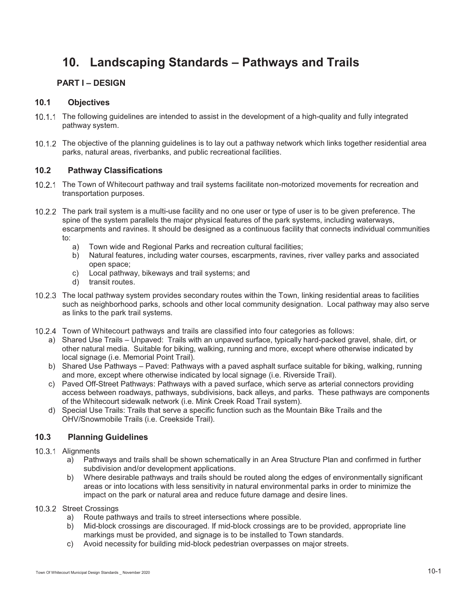# **10. Landscaping Standards – Pathways and Trails**

# **PART I – DESIGN**

# **10.1 Objectives**

- 10.1.1 The following guidelines are intended to assist in the development of a high-quality and fully integrated pathway system.
- The objective of the planning guidelines is to lay out a pathway network which links together residential area parks, natural areas, riverbanks, and public recreational facilities.

# **10.2 Pathway Classifications**

- 10.2.1 The Town of Whitecourt pathway and trail systems facilitate non-motorized movements for recreation and transportation purposes.
- 10.2.2 The park trail system is a multi-use facility and no one user or type of user is to be given preference. The spine of the system parallels the major physical features of the park systems, including waterways, escarpments and ravines. It should be designed as a continuous facility that connects individual communities to:
	- a) Town wide and Regional Parks and recreation cultural facilities;
	- b) Natural features, including water courses, escarpments, ravines, river valley parks and associated open space;
	- c) Local pathway, bikeways and trail systems; and
	- d) transit routes.
- 10.2.3 The local pathway system provides secondary routes within the Town, linking residential areas to facilities such as neighborhood parks, schools and other local community designation. Local pathway may also serve as links to the park trail systems.
- Town of Whitecourt pathways and trails are classified into four categories as follows:
	- a) Shared Use Trails Unpaved: Trails with an unpaved surface, typically hard-packed gravel, shale, dirt, or other natural media. Suitable for biking, walking, running and more, except where otherwise indicated by local signage (i.e. Memorial Point Trail).
	- b) Shared Use Pathways Paved: Pathways with a paved asphalt surface suitable for biking, walking, running and more, except where otherwise indicated by local signage (i.e. Riverside Trail).
	- c) Paved Off-Street Pathways: Pathways with a paved surface, which serve as arterial connectors providing access between roadways, pathways, subdivisions, back alleys, and parks. These pathways are components of the Whitecourt sidewalk network (i.e. Mink Creek Road Trail system).
	- d) Special Use Trails: Trails that serve a specific function such as the Mountain Bike Trails and the OHV/Snowmobile Trails (i.e. Creekside Trail).

# **10.3 Planning Guidelines**

# 10.3.1 Alignments

- a) Pathways and trails shall be shown schematically in an Area Structure Plan and confirmed in further subdivision and/or development applications.
- b) Where desirable pathways and trails should be routed along the edges of environmentally significant areas or into locations with less sensitivity in natural environmental parks in order to minimize the impact on the park or natural area and reduce future damage and desire lines.

# 10.3.2 Street Crossings

- a) Route pathways and trails to street intersections where possible.
- b) Mid-block crossings are discouraged. If mid-block crossings are to be provided, appropriate line markings must be provided, and signage is to be installed to Town standards.
- c) Avoid necessity for building mid-block pedestrian overpasses on major streets.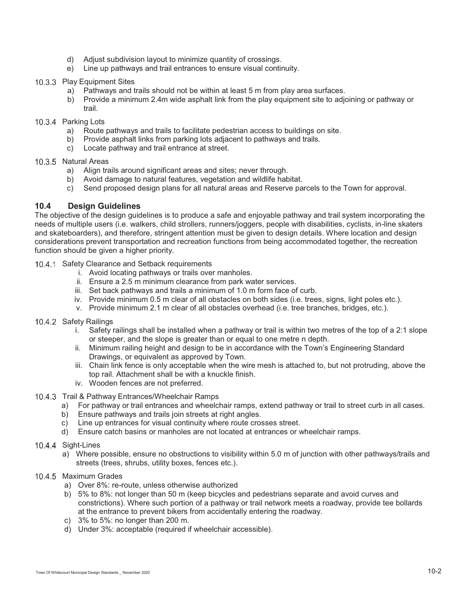- d) Adjust subdivision layout to minimize quantity of crossings.
- e) Line up pathways and trail entrances to ensure visual continuity.

#### 10.3.3 Play Equipment Sites

- a) Pathways and trails should not be within at least 5 m from play area surfaces.
- b) Provide a minimum 2.4m wide asphalt link from the play equipment site to adjoining or pathway or trail.

#### 10.3.4 Parking Lots

- a) Route pathways and trails to facilitate pedestrian access to buildings on site.
- b) Provide asphalt links from parking lots adjacent to pathways and trails.
- c) Locate pathway and trail entrance at street.

#### 10.3.5 Natural Areas

- a) Align trails around significant areas and sites; never through.
- b) Avoid damage to natural features, vegetation and wildlife habitat.
- c) Send proposed design plans for all natural areas and Reserve parcels to the Town for approval.

# **10.4 Design Guidelines**

The objective of the design guidelines is to produce a safe and enjoyable pathway and trail system incorporating the needs of multiple users (i.e. walkers, child strollers, runners/joggers, people with disabilities, cyclists, in-line skaters and skateboarders), and therefore, stringent attention must be given to design details. Where location and design considerations prevent transportation and recreation functions from being accommodated together, the recreation function should be given a higher priority.

- 10.4.1 Safety Clearance and Setback requirements
	- i. Avoid locating pathways or trails over manholes.
	- ii. Ensure a 2.5 m minimum clearance from park water services.
	- iii. Set back pathways and trails a minimum of 1.0 m form face of curb.
	- iv. Provide minimum 0.5 m clear of all obstacles on both sides (i.e. trees, signs, light poles etc.).
	- v. Provide minimum 2.1 m clear of all obstacles overhead (i.e. tree branches, bridges, etc.).

#### 10.4.2 Safety Railings

- i. Safety railings shall be installed when a pathway or trail is within two metres of the top of a 2:1 slope or steeper, and the slope is greater than or equal to one metre n depth.
- ii. Minimum railing height and design to be in accordance with the Town's Engineering Standard Drawings, or equivalent as approved by Town.
- iii. Chain link fence is only acceptable when the wire mesh is attached to, but not protruding, above the top rail. Attachment shall be with a knuckle finish.
- iv. Wooden fences are not preferred.
- 10.4.3 Trail & Pathway Entrances/Wheelchair Ramps
	- a) For pathway or trail entrances and wheelchair ramps, extend pathway or trail to street curb in all cases.
	- b) Ensure pathways and trails join streets at right angles.
	- c) Line up entrances for visual continuity where route crosses street.
	- d) Ensure catch basins or manholes are not located at entrances or wheelchair ramps.

#### 10.4.4 Sight-Lines

a) Where possible, ensure no obstructions to visibility within 5.0 m of junction with other pathways/trails and streets (trees, shrubs, utility boxes, fences etc.).

# 10.4.5 Maximum Grades

- a) Over 8%: re-route, unless otherwise authorized
- b) 5% to 8%: not longer than 50 m (keep bicycles and pedestrians separate and avoid curves and constrictions). Where such portion of a pathway or trail network meets a roadway, provide tee bollards at the entrance to prevent bikers from accidentally entering the roadway.
- c) 3% to 5%: no longer than 200 m.
- d) Under 3%: acceptable (required if wheelchair accessible).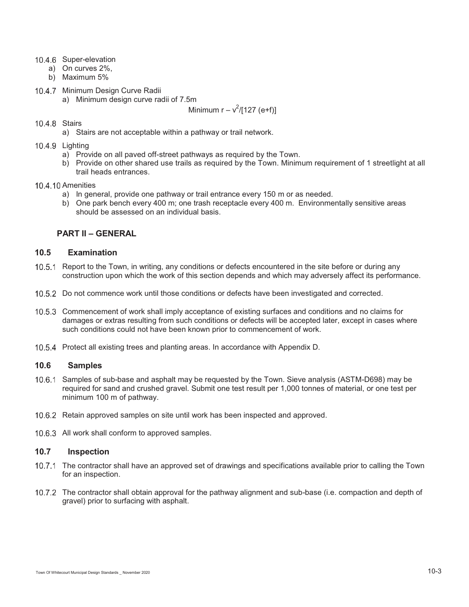- 10.4.6 Super-elevation
	- a) On curves 2%,
	- b) Maximum 5%
- 10.4.7 Minimum Design Curve Radii a) Minimum design curve radii of 7.5m

# Minimum  $r - v^2 / [127 \text{ (e+f)}]$

# 10.4.8 Stairs

a) Stairs are not acceptable within a pathway or trail network.

#### 10.4.9 Lighting

- a) Provide on all paved off-street pathways as required by the Town.
- b) Provide on other shared use trails as required by the Town. Minimum requirement of 1 streetlight at all trail heads entrances.

#### 10.4.10 Amenities

- a) In general, provide one pathway or trail entrance every 150 m or as needed.
- b) One park bench every 400 m; one trash receptacle every 400 m. Environmentally sensitive areas should be assessed on an individual basis.

# **PART II – GENERAL**

# **10.5 Examination**

- 10.5.1 Report to the Town, in writing, any conditions or defects encountered in the site before or during any construction upon which the work of this section depends and which may adversely affect its performance.
- 10.5.2 Do not commence work until those conditions or defects have been investigated and corrected.
- 10.5.3 Commencement of work shall imply acceptance of existing surfaces and conditions and no claims for damages or extras resulting from such conditions or defects will be accepted later, except in cases where such conditions could not have been known prior to commencement of work.
- 10.5.4 Protect all existing trees and planting areas. In accordance with Appendix D.

#### **10.6 Samples**

- 10.6.1 Samples of sub-base and asphalt may be requested by the Town. Sieve analysis (ASTM-D698) may be required for sand and crushed gravel. Submit one test result per 1,000 tonnes of material, or one test per minimum 100 m of pathway.
- 10.6.2 Retain approved samples on site until work has been inspected and approved.
- 10.6.3 All work shall conform to approved samples.

# **10.7 Inspection**

- 10.7.1 The contractor shall have an approved set of drawings and specifications available prior to calling the Town for an inspection.
- 10.7.2 The contractor shall obtain approval for the pathway alignment and sub-base (i.e. compaction and depth of gravel) prior to surfacing with asphalt.